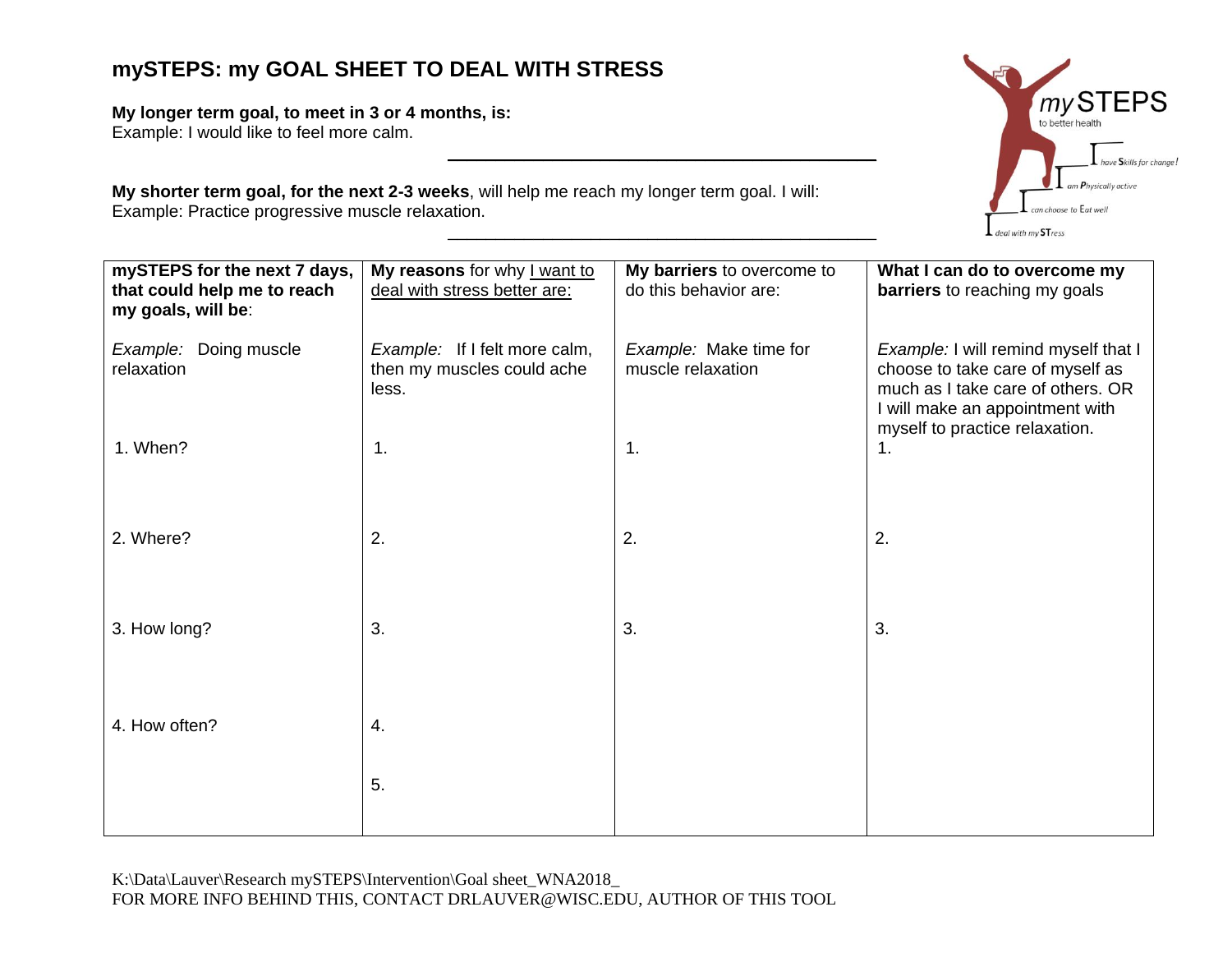## **mySTEPS: my GOAL SHEET TO DEAL WITH STRESS**

**My longer term goal, to meet in 3 or 4 months, is:**

Example: I would like to feel more calm.

**My shorter term goal, for the next 2-3 weeks**, will help me reach my longer term goal. I will: Example: Practice progressive muscle relaxation. \_\_\_\_\_\_\_\_\_\_\_\_\_\_\_\_\_\_\_\_\_\_\_\_\_\_\_\_\_\_\_\_\_\_\_\_\_\_\_\_\_\_\_\_\_

| mySTEPS for the next 7 days,<br>that could help me to reach<br>my goals, will be: | My reasons for why I want to<br>deal with stress better are:         | My barriers to overcome to<br>do this behavior are: | What I can do to overcome my<br><b>barriers</b> to reaching my goals                                                                             |
|-----------------------------------------------------------------------------------|----------------------------------------------------------------------|-----------------------------------------------------|--------------------------------------------------------------------------------------------------------------------------------------------------|
| Example: Doing muscle<br>relaxation                                               | Example: If I felt more calm,<br>then my muscles could ache<br>less. | Example: Make time for<br>muscle relaxation         | Example: I will remind myself that I<br>choose to take care of myself as<br>much as I take care of others. OR<br>I will make an appointment with |
| 1. When?                                                                          | $\mathbf 1$ .                                                        | 1.                                                  | myself to practice relaxation.<br>1.                                                                                                             |
| 2. Where?                                                                         | 2.                                                                   | 2.                                                  | 2.                                                                                                                                               |
| 3. How long?                                                                      | 3.                                                                   | 3.                                                  | 3.                                                                                                                                               |
| 4. How often?                                                                     | 4.                                                                   |                                                     |                                                                                                                                                  |
|                                                                                   | 5.                                                                   |                                                     |                                                                                                                                                  |

 $\mathcal{L}_\text{max}$  and  $\mathcal{L}_\text{max}$  and  $\mathcal{L}_\text{max}$  and  $\mathcal{L}_\text{max}$  and  $\mathcal{L}_\text{max}$ 

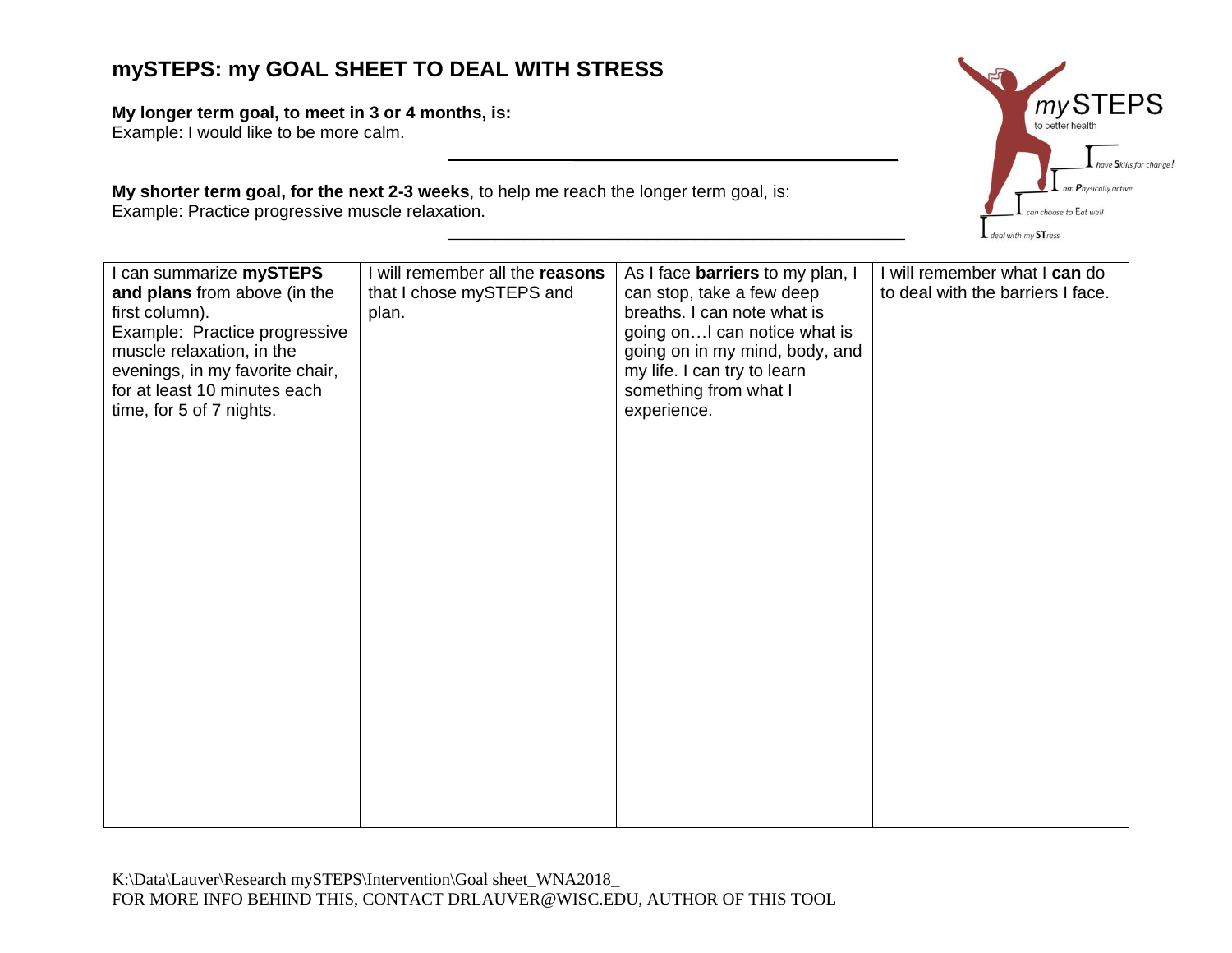## **mySTEPS: my GOAL SHEET TO DEAL WITH STRESS**

**My longer term goal, to meet in 3 or 4 months, is:**

Example: I would like to be more calm.

**My shorter term goal, for the next 2-3 weeks**, to help me reach the longer term goal, is: Example: Practice progressive muscle relaxation.



 $\mathcal{L}_\text{max}$  and  $\mathcal{L}_\text{max}$  and  $\mathcal{L}_\text{max}$  and  $\mathcal{L}_\text{max}$ 

\_\_\_\_\_\_\_\_\_\_\_\_\_\_\_\_\_\_\_\_\_\_\_\_\_\_\_\_\_\_\_\_\_\_\_\_\_\_\_\_\_\_\_\_\_\_\_\_

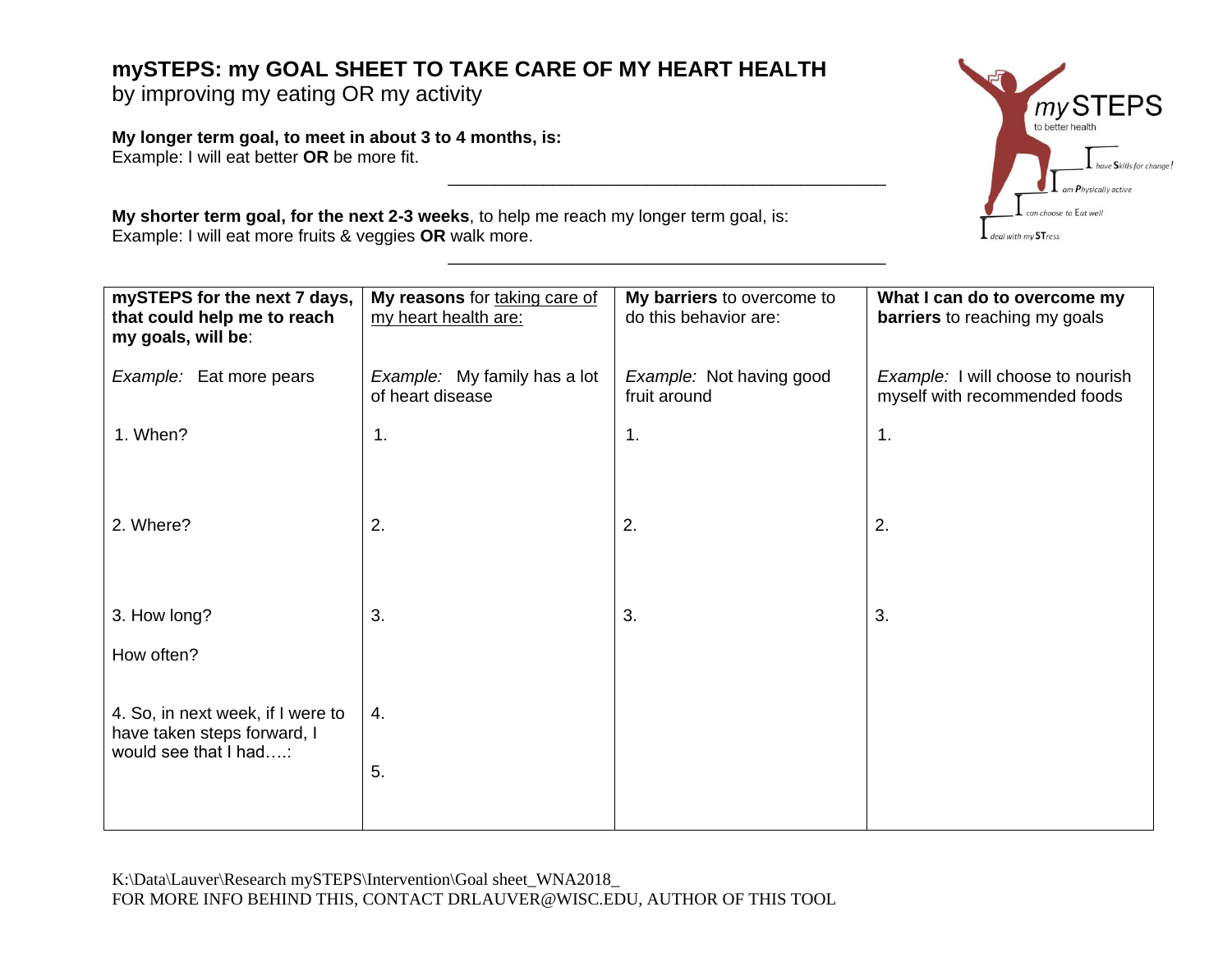## **mySTEPS: my GOAL SHEET TO TAKE CARE OF MY HEART HEALTH**

by improving my eating OR my activity

**My longer term goal, to meet in about 3 to 4 months, is:** Example: I will eat better **OR** be more fit.

**My shorter term goal, for the next 2-3 weeks**, to help me reach my longer term goal, is: Example: I will eat more fruits & veggies **OR** walk more.

| My reasons for taking care of<br>my heart health are: | My barriers to overcome to<br>do this behavior are: | What I can do to overcome my<br><b>barriers</b> to reaching my goals |
|-------------------------------------------------------|-----------------------------------------------------|----------------------------------------------------------------------|
| Example: My family has a lot<br>of heart disease      | Example: Not having good<br>fruit around            | Example: I will choose to nourish<br>myself with recommended foods   |
| 1.                                                    | 1.                                                  | $\mathbf 1$ .                                                        |
| 2.                                                    | 2.                                                  | 2.                                                                   |
| 3.                                                    | 3.                                                  | 3.                                                                   |
| 4.<br>5.                                              |                                                     |                                                                      |
|                                                       |                                                     |                                                                      |

 $\mathcal{L}_\text{max}$  and  $\mathcal{L}_\text{max}$  and  $\mathcal{L}_\text{max}$  and  $\mathcal{L}_\text{max}$  and  $\mathcal{L}_\text{max}$ 

\_\_\_\_\_\_\_\_\_\_\_\_\_\_\_\_\_\_\_\_\_\_\_\_\_\_\_\_\_\_\_\_\_\_\_\_\_\_\_\_\_\_\_\_\_\_

K:\Data\Lauver\Research mySTEPS\Intervention\Goal sheet\_WNA2018\_ FOR MORE INFO BEHIND THIS, CONTACT DRLAUVER@WISC.EDU, AUTHOR OF THIS TOOL